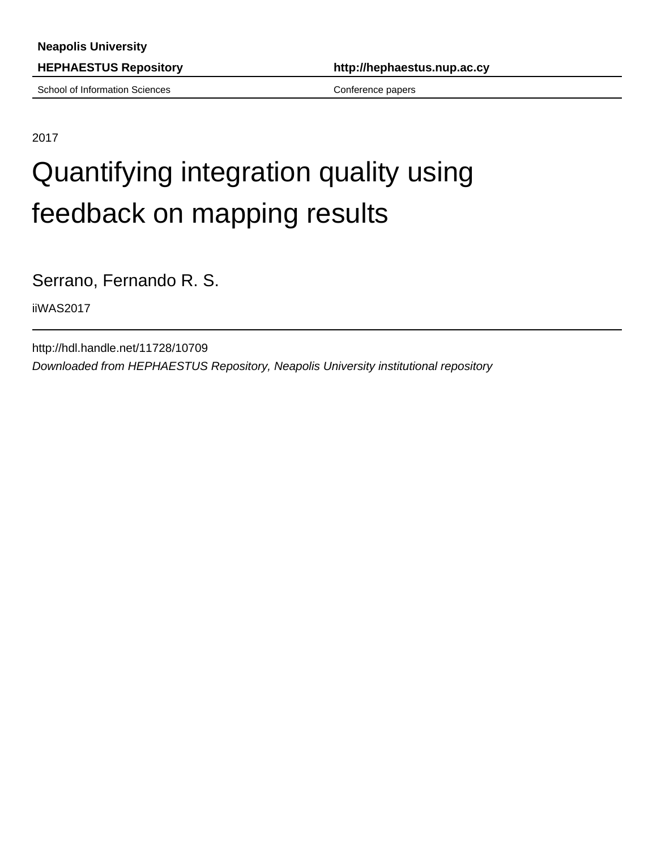School of Information Sciences Conference papers Conference papers

**HEPHAESTUS Repository http://hephaestus.nup.ac.cy**

2017

# Quantifying integration quality using feedback on mapping results

Serrano, Fernando R. S.

iiWAS2017

http://hdl.handle.net/11728/10709 Downloaded from HEPHAESTUS Repository, Neapolis University institutional repository